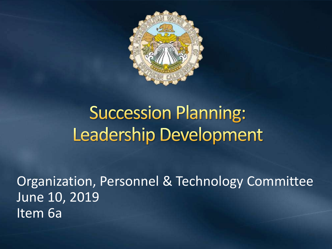

# **Succession Planning: Leadership Development**

Organization, Personnel & Technology Committee June 10, 2019 Item 6a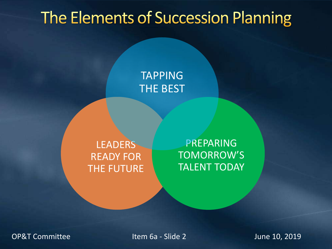# The Elements of Succession Planning

#### TAPPING THE BEST

**LEADERS** READY FOR THE FUTURE

PREPARING TOMORROW'S TALENT TODAY

OP&T Committee The Item 6a - Slide 2 June 10, 2019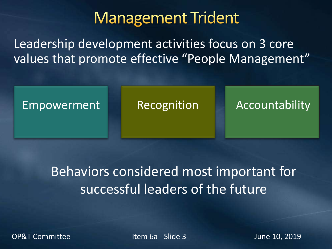## **Management Trident**

Leadership development activities focus on 3 core values that promote effective "People Management"



Behaviors considered most important for successful leaders of the future

OP&T Committee The Item 6a - Slide 3 June 10, 2019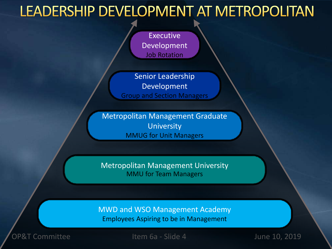### LEADERSHIP DEVELOPMENT AT METROPOLITAN

**Executive** Development Job Rotation

Senior Leadership Development Group and Section Managers

Metropolitan Management Graduate **University** MMUG for Unit Managers

Metropolitan Management University MMU for Team Managers

MWD and WSO Management Academy Employees Aspiring to be in Management

OP&T Committee The Item 6a - Slide 4 June 10, 2019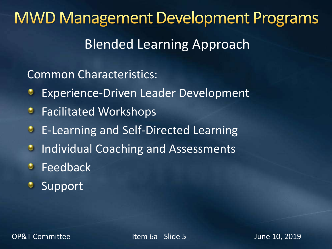**MWD Management Development Programs** Blended Learning Approach

Common Characteristics:

- Experience-Driven Leader Development
- **•** Facilitated Workshops
- **E-Learning and Self-Directed Learning**
- **Individual Coaching and Assessments**
- *C* Feedback
- **Support**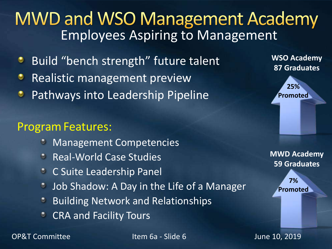### **MWD and WSO Management Academy** Employees Aspiring to Management

- Build "bench strength" future talent
- Realistic management preview
- Pathways into Leadership Pipeline

#### Program Features:

- Management Competencies
- Real-World Case Studies
- C Suite Leadership Panel
- Job Shadow: A Day in the Life of a Manager Ø.
- Building Network and Relationships
- CRA and Facility Tours



**WSO Academy 87 Graduates**



**MWD Academy 59 Graduates**

> **7% Promoted**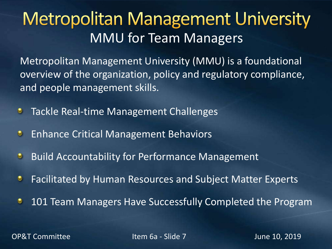# **Metropolitan Management University** MMU for Team Managers

Metropolitan Management University (MMU) is a foundational overview of the organization, policy and regulatory compliance, and people management skills.

- Tackle Real-time Management Challenges  $\bullet$
- $\bullet$ Enhance Critical Management Behaviors
- Build Accountability for Performance Management  $\bullet$
- Facilitated by Human Resources and Subject Matter Experts ۰
- 101 Team Managers Have Successfully Completed the Program ٠

OP&T Committee The Item 6a - Slide 7 June 10, 2019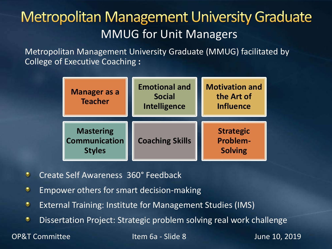### **Metropolitan Management University Graduate** MMUG for Unit Managers

Metropolitan Management University Graduate (MMUG) facilitated by College of Executive Coaching **:**

| <b>Manager as a</b><br><b>Teacher</b>                     | <b>Emotional and</b><br><b>Social</b><br><b>Intelligence</b> | <b>Motivation and</b><br>the Art of<br><b>Influence</b> |
|-----------------------------------------------------------|--------------------------------------------------------------|---------------------------------------------------------|
| <b>Mastering</b><br><b>Communication</b><br><b>Styles</b> | <b>Coaching Skills</b>                                       | <b>Strategic</b><br><b>Problem-</b><br><b>Solving</b>   |

- Create Self Awareness 360° Feedback  $\bullet$
- ۰ Empower others for smart decision-making
- $\bullet$ External Training: Institute for Management Studies (IMS)
- ۰ Dissertation Project: Strategic problem solving real work challenge

OP&T Committee Item 6a - Slide 8 June 10, 2019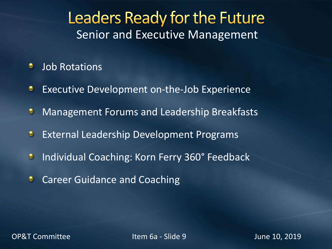### Leaders Ready for the Future Senior and Executive Management

- ۰ Job Rotations
- Executive Development on-the-Job Experience ٥
- $\bullet$ Management Forums and Leadership Breakfasts
- $\bullet$ External Leadership Development Programs
- Individual Coaching: Korn Ferry 360° Feedback  $\bullet$
- Career Guidance and Coaching ۰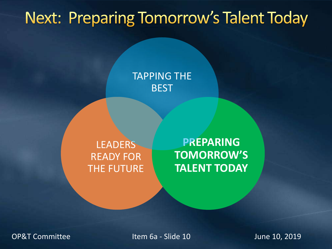## **Next: Preparing Tomorrow's Talent Today**

TAPPING THE **BEST** 

LEADERS READY FOR THE FUTURE

**PREPARING TOMORROW'S TALENT TODAY**

OP&T Committee The Item 6a - Slide 10 June 10, 2019